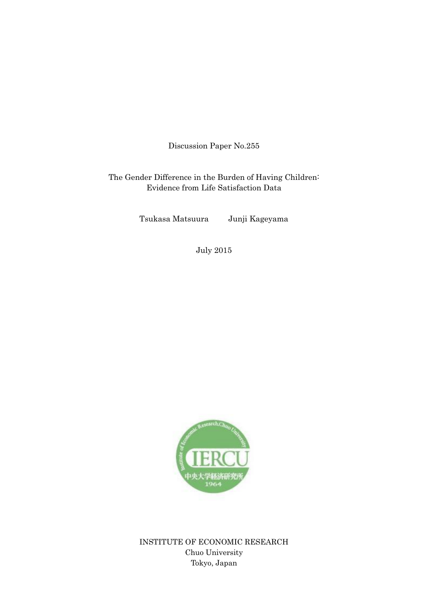Discussion Paper No.255

The Gender Difference in the Burden of Having Children: Evidence from Life Satisfaction Data

Tsukasa Matsuura Junji Kageyama

July 2015



INSTITUTE OF ECONOMIC RESEARCH Chuo University Tokyo, Japan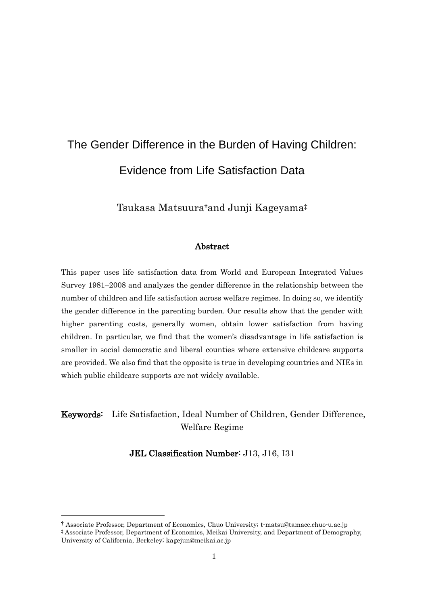# The Gender Difference in the Burden of Having Children: Evidence from Life Satisfaction Data

Tsukasa Matsuura†and Junji Kageyama‡

## Abstract

This paper uses life satisfaction data from World and European Integrated Values Survey 1981–2008 and analyzes the gender difference in the relationship between the number of children and life satisfaction across welfare regimes. In doing so, we identify the gender difference in the parenting burden. Our results show that the gender with higher parenting costs, generally women, obtain lower satisfaction from having children. In particular, we find that the women's disadvantage in life satisfaction is smaller in social democratic and liberal counties where extensive childcare supports are provided. We also find that the opposite is true in developing countries and NIEs in which public childcare supports are not widely available.

# Keywords: Life Satisfaction, Ideal Number of Children, Gender Difference, Welfare Regime

JEL Classification Number: J13, J16, I31

-

<sup>†</sup> Associate Professor, Department of Economics, Chuo University; t-matsu@tamacc.chuo-u.ac.jp

<sup>‡</sup> Associate Professor, Department of Economics, Meikai University, and Department of Demography, University of California, Berkeley; kagejun@meikai.ac.jp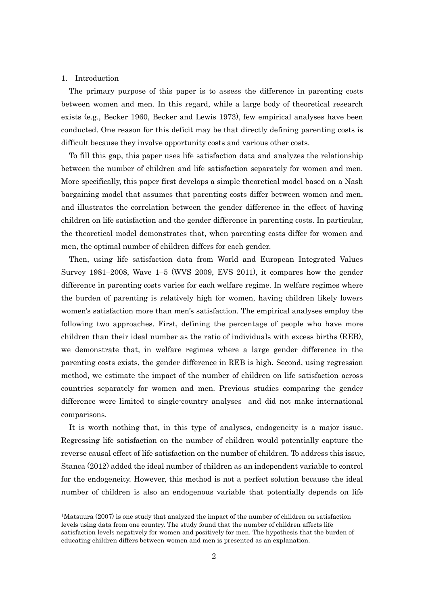#### 1. Introduction

-

The primary purpose of this paper is to assess the difference in parenting costs between women and men. In this regard, while a large body of theoretical research exists (e.g., Becker 1960, Becker and Lewis 1973), few empirical analyses have been conducted. One reason for this deficit may be that directly defining parenting costs is difficult because they involve opportunity costs and various other costs.

To fill this gap, this paper uses life satisfaction data and analyzes the relationship between the number of children and life satisfaction separately for women and men. More specifically, this paper first develops a simple theoretical model based on a Nash bargaining model that assumes that parenting costs differ between women and men, and illustrates the correlation between the gender difference in the effect of having children on life satisfaction and the gender difference in parenting costs. In particular, the theoretical model demonstrates that, when parenting costs differ for women and men, the optimal number of children differs for each gender.

Then, using life satisfaction data from World and European Integrated Values Survey 1981–2008, Wave  $1-5$  (WVS 2009, EVS 2011), it compares how the gender difference in parenting costs varies for each welfare regime. In welfare regimes where the burden of parenting is relatively high for women, having children likely lowers women's satisfaction more than men's satisfaction. The empirical analyses employ the following two approaches. First, defining the percentage of people who have more children than their ideal number as the ratio of individuals with excess births (REB), we demonstrate that, in welfare regimes where a large gender difference in the parenting costs exists, the gender difference in REB is high. Second, using regression method, we estimate the impact of the number of children on life satisfaction across countries separately for women and men. Previous studies comparing the gender difference were limited to single-country analyses<sup>1</sup> and did not make international comparisons.

It is worth nothing that, in this type of analyses, endogeneity is a major issue. Regressing life satisfaction on the number of children would potentially capture the reverse causal effect of life satisfaction on the number of children. To address this issue, Stanca (2012) added the ideal number of children as an independent variable to control for the endogeneity. However, this method is not a perfect solution because the ideal number of children is also an endogenous variable that potentially depends on life

<sup>&</sup>lt;sup>1</sup>Matsuura (2007) is one study that analyzed the impact of the number of children on satisfaction levels using data from one country. The study found that the number of children affects life satisfaction levels negatively for women and positively for men. The hypothesis that the burden of educating children differs between women and men is presented as an explanation.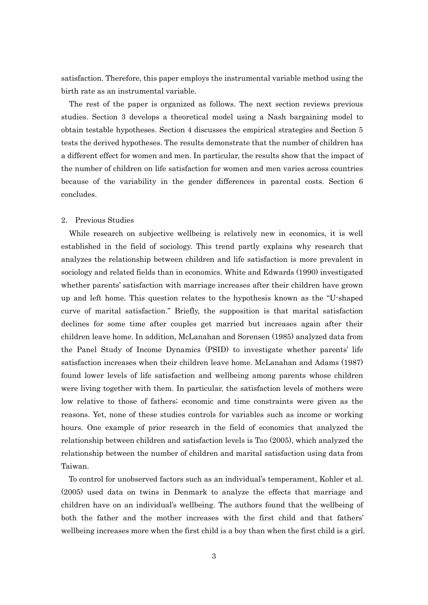satisfaction. Therefore, this paper employs the instrumental variable method using the birth rate as an instrumental variable.

The rest of the paper is organized as follows. The next section reviews previous studies. Section 3 develops a theoretical model using a Nash bargaining model to obtain testable hypotheses. Section 4 discusses the empirical strategies and Section 5 tests the derived hypotheses. The results demonstrate that the number of children has a different effect for women and men. In particular, the results show that the impact of the number of children on life satisfaction for women and men varies across countries because of the variability in the gender differences in parental costs. Section 6 concludes.

#### 2. Previous Studies

While research on subjective wellbeing is relatively new in economics, it is well established in the field of sociology. This trend partly explains why research that analyzes the relationship between children and life satisfaction is more prevalent in sociology and related fields than in economics. White and Edwards (1990) investigated whether parents' satisfaction with marriage increases after their children have grown up and left home. This question relates to the hypothesis known as the "U-shaped curve of marital satisfaction." Briefly, the supposition is that marital satisfaction declines for some time after couples get married but increases again after their children leave home. In addition, McLanahan and Sorensen (1985) analyzed data from the Panel Study of Income Dynamics (PSID) to investigate whether parents' life satisfaction increases when their children leave home. McLanahan and Adams (1987) found lower levels of life satisfaction and wellbeing among parents whose children were living together with them. In particular, the satisfaction levels of mothers were low relative to those of fathers; economic and time constraints were given as the reasons. Yet, none of these studies controls for variables such as income or working hours. One example of prior research in the field of economics that analyzed the relationship between children and satisfaction levels is Tao (2005), which analyzed the relationship between the number of children and marital satisfaction using data from Taiwan.

To control for unobserved factors such as an individual's temperament, Kohler et al. (2005) used data on twins in Denmark to analyze the effects that marriage and children have on an individual's wellbeing. The authors found that the wellbeing of both the father and the mother increases with the first child and that fathers' wellbeing increases more when the first child is a boy than when the first child is a girl.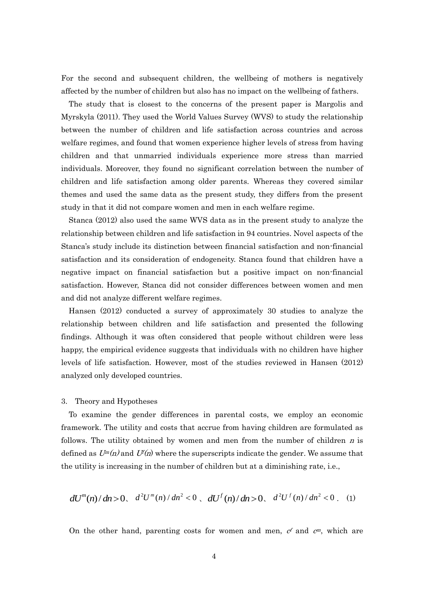For the second and subsequent children, the wellbeing of mothers is negatively affected by the number of children but also has no impact on the wellbeing of fathers.

The study that is closest to the concerns of the present paper is Margolis and Myrskyla (2011). They used the World Values Survey (WVS) to study the relationship between the number of children and life satisfaction across countries and across welfare regimes, and found that women experience higher levels of stress from having children and that unmarried individuals experience more stress than married individuals. Moreover, they found no significant correlation between the number of children and life satisfaction among older parents. Whereas they covered similar themes and used the same data as the present study, they differs from the present study in that it did not compare women and men in each welfare regime.

Stanca (2012) also used the same WVS data as in the present study to analyze the relationship between children and life satisfaction in 94 countries. Novel aspects of the Stanca's study include its distinction between financial satisfaction and non-financial satisfaction and its consideration of endogeneity. Stanca found that children have a negative impact on financial satisfaction but a positive impact on non-financial satisfaction. However, Stanca did not consider differences between women and men and did not analyze different welfare regimes.

Hansen (2012) conducted a survey of approximately 30 studies to analyze the relationship between children and life satisfaction and presented the following findings. Although it was often considered that people without children were less happy, the empirical evidence suggests that individuals with no children have higher levels of life satisfaction. However, most of the studies reviewed in Hansen (2012) analyzed only developed countries.

#### 3. Theory and Hypotheses

To examine the gender differences in parental costs, we employ an economic framework. The utility and costs that accrue from having children are formulated as follows. The utility obtained by women and men from the number of children  $n$  is defined as  $U^m(n)$  and  $U^f(n)$  where the superscripts indicate the gender. We assume that the utility is increasing in the number of children but at a diminishing rate, i.e.,

$$
dU^{m}(n)/dn > 0, \quad d^{2}U^{m}(n)/dn^{2} < 0, \quad dU^{f}(n)/dn > 0, \quad d^{2}U^{f}(n)/dn^{2} < 0
$$
 (1)

On the other hand, parenting costs for women and men,  $c<sup>f</sup>$  and  $c<sup>m</sup>$ , which are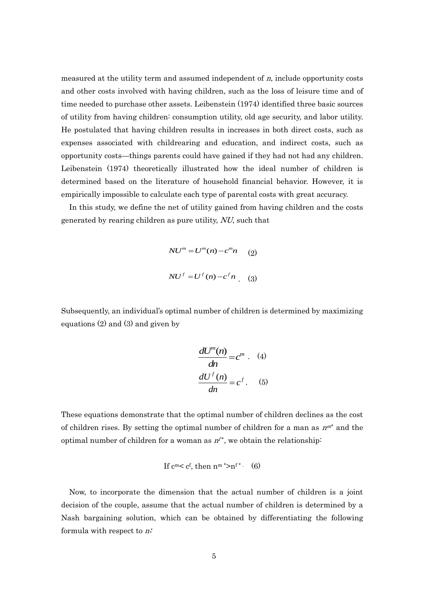measured at the utility term and assumed independent of  $n$ , include opportunity costs and other costs involved with having children, such as the loss of leisure time and of time needed to purchase other assets. Leibenstein (1974) identified three basic sources of utility from having children: consumption utility, old age security, and labor utility. He postulated that having children results in increases in both direct costs, such as expenses associated with childrearing and education, and indirect costs, such as opportunity costs—things parents could have gained if they had not had any children. Leibenstein (1974) theoretically illustrated how the ideal number of children is determined based on the literature of household financial behavior. However, it is empirically impossible to calculate each type of parental costs with great accuracy.

In this study, we define the net of utility gained from having children and the costs generated by rearing children as pure utility, NU, such that

$$
NUm = Um(n) - cmn
$$
 (2)  

$$
NUf = Uf(n) - cfn
$$
 (3)

Subsequently, an individual's optimal number of children is determined by maximizing equations  $(2)$  and  $(3)$  and given by

$$
\frac{dU^{m}(n)}{dn} = c^{m} \t (4)
$$

$$
\frac{dU^{f}(n)}{dn} = c^{f} \t (5)
$$

These equations demonstrate that the optimal number of children declines as the cost of children rises. By setting the optimal number of children for a man as  $n^{m^*}$  and the optimal number of children for a woman as  $n^{t*}$ , we obtain the relationship:

If 
$$
c^m < c^f
$$
, then  $n^m \cdot > n^f \cdot (6)$ 

Now, to incorporate the dimension that the actual number of children is a joint decision of the couple, assume that the actual number of children is determined by a Nash bargaining solution, which can be obtained by differentiating the following formula with respect to  $n^2$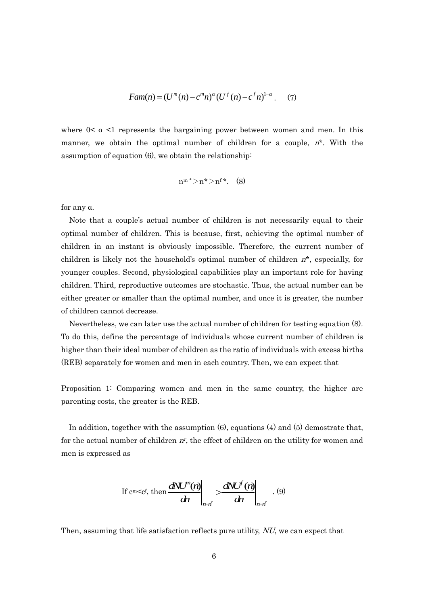$$
Fam(n) = (U^{m}(n) - c^{m}n)^{\alpha} (U^{f}(n) - c^{f}n)^{1-\alpha}.
$$
 (7)

where  $0<\alpha<1$  represents the bargaining power between women and men. In this manner, we obtain the optimal number of children for a couple,  $n^*$ . With the assumption of equation (6), we obtain the relationship:

$$
n^{m\,*>}n^*\textgt{n}^{\mathfrak{f}\,*}.\quad \ (8)
$$

for any α.

Note that a couple's actual number of children is not necessarily equal to their optimal number of children. This is because, first, achieving the optimal number of children in an instant is obviously impossible. Therefore, the current number of children is likely not the household's optimal number of children  $n^*$ , especially, for younger couples. Second, physiological capabilities play an important role for having children. Third, reproductive outcomes are stochastic. Thus, the actual number can be either greater or smaller than the optimal number, and once it is greater, the number of children cannot decrease.

Nevertheless, we can later use the actual number of children for testing equation (8). To do this, define the percentage of individuals whose current number of children is higher than their ideal number of children as the ratio of individuals with excess births (REB) separately for women and men in each country. Then, we can expect that

Proposition 1: Comparing women and men in the same country, the higher are parenting costs, the greater is the REB.

In addition, together with the assumption (6), equations (4) and (5) demostrate that, for the actual number of children  $n<sub>r</sub>$ , the effect of children on the utility for women and men is expressed as

If 
$$
c^m < c^f
$$
, then  $\frac{dN U^n(n)}{dn} \bigg|_{n \to i} > \frac{dN U^f(n)}{dn} \bigg|_{n \to i}$ . (9)

Then, assuming that life satisfaction reflects pure utility, NU, we can expect that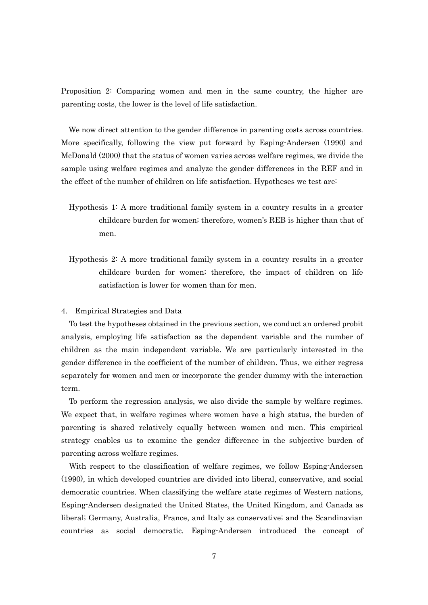Proposition 2: Comparing women and men in the same country, the higher are parenting costs, the lower is the level of life satisfaction.

We now direct attention to the gender difference in parenting costs across countries. More specifically, following the view put forward by Esping-Andersen (1990) and McDonald (2000) that the status of women varies across welfare regimes, we divide the sample using welfare regimes and analyze the gender differences in the REF and in the effect of the number of children on life satisfaction. Hypotheses we test are:

- Hypothesis 1: A more traditional family system in a country results in a greater childcare burden for women; therefore, women's REB is higher than that of men.
- Hypothesis 2: A more traditional family system in a country results in a greater childcare burden for women; therefore, the impact of children on life satisfaction is lower for women than for men.

#### 4. Empirical Strategies and Data

To test the hypotheses obtained in the previous section, we conduct an ordered probit analysis, employing life satisfaction as the dependent variable and the number of children as the main independent variable. We are particularly interested in the gender difference in the coefficient of the number of children. Thus, we either regress separately for women and men or incorporate the gender dummy with the interaction term.

To perform the regression analysis, we also divide the sample by welfare regimes. We expect that, in welfare regimes where women have a high status, the burden of parenting is shared relatively equally between women and men. This empirical strategy enables us to examine the gender difference in the subjective burden of parenting across welfare regimes.

With respect to the classification of welfare regimes, we follow Esping-Andersen (1990), in which developed countries are divided into liberal, conservative, and social democratic countries. When classifying the welfare state regimes of Western nations, Esping-Andersen designated the United States, the United Kingdom, and Canada as liberal; Germany, Australia, France, and Italy as conservative; and the Scandinavian countries as social democratic. Esping-Andersen introduced the concept of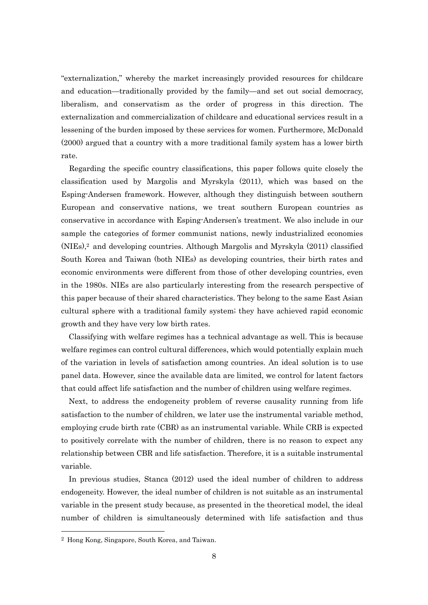"externalization," whereby the market increasingly provided resources for childcare and education—traditionally provided by the family—and set out social democracy, liberalism, and conservatism as the order of progress in this direction. The externalization and commercialization of childcare and educational services result in a lessening of the burden imposed by these services for women. Furthermore, McDonald (2000) argued that a country with a more traditional family system has a lower birth rate.

Regarding the specific country classifications, this paper follows quite closely the classification used by Margolis and Myrskyla (2011), which was based on the Esping-Andersen framework. However, although they distinguish between southern European and conservative nations, we treat southern European countries as conservative in accordance with Esping-Andersen's treatment. We also include in our sample the categories of former communist nations, newly industrialized economies (NIEs),<sup>2</sup> and developing countries. Although Margolis and Myrskyla (2011) classified South Korea and Taiwan (both NIEs) as developing countries, their birth rates and economic environments were different from those of other developing countries, even in the 1980s. NIEs are also particularly interesting from the research perspective of this paper because of their shared characteristics. They belong to the same East Asian cultural sphere with a traditional family system; they have achieved rapid economic growth and they have very low birth rates.

Classifying with welfare regimes has a technical advantage as well. This is because welfare regimes can control cultural differences, which would potentially explain much of the variation in levels of satisfaction among countries. An ideal solution is to use panel data. However, since the available data are limited, we control for latent factors that could affect life satisfaction and the number of children using welfare regimes.

Next, to address the endogeneity problem of reverse causality running from life satisfaction to the number of children, we later use the instrumental variable method, employing crude birth rate (CBR) as an instrumental variable. While CRB is expected to positively correlate with the number of children, there is no reason to expect any relationship between CBR and life satisfaction. Therefore, it is a suitable instrumental variable.

In previous studies, Stanca (2012) used the ideal number of children to address endogeneity. However, the ideal number of children is not suitable as an instrumental variable in the present study because, as presented in the theoretical model, the ideal number of children is simultaneously determined with life satisfaction and thus

-

<sup>2</sup> Hong Kong, Singapore, South Korea, and Taiwan.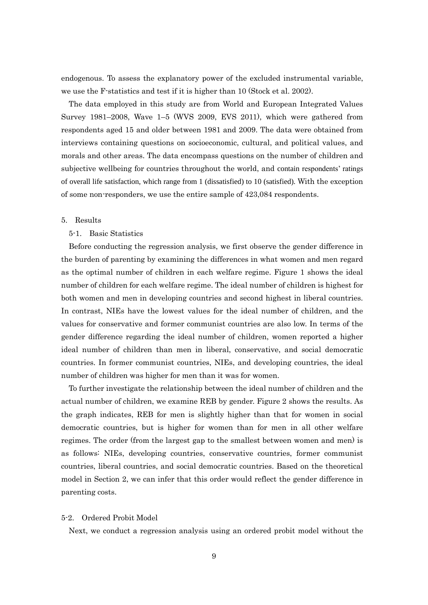endogenous. To assess the explanatory power of the excluded instrumental variable, we use the F-statistics and test if it is higher than 10 (Stock et al. 2002).

The data employed in this study are from World and European Integrated Values Survey 1981–2008, Wave 1–5 (WVS 2009, EVS 2011), which were gathered from respondents aged 15 and older between 1981 and 2009. The data were obtained from interviews containing questions on socioeconomic, cultural, and political values, and morals and other areas. The data encompass questions on the number of children and subjective wellbeing for countries throughout the world, and contain respondents' ratings of overall life satisfaction, which range from 1 (dissatisfied) to 10 (satisfied). With the exception of some non-responders, we use the entire sample of 423,084 respondents.

#### 5. Results

#### 5-1. Basic Statistics

Before conducting the regression analysis, we first observe the gender difference in the burden of parenting by examining the differences in what women and men regard as the optimal number of children in each welfare regime. Figure 1 shows the ideal number of children for each welfare regime. The ideal number of children is highest for both women and men in developing countries and second highest in liberal countries. In contrast, NIEs have the lowest values for the ideal number of children, and the values for conservative and former communist countries are also low. In terms of the gender difference regarding the ideal number of children, women reported a higher ideal number of children than men in liberal, conservative, and social democratic countries. In former communist countries, NIEs, and developing countries, the ideal number of children was higher for men than it was for women.

To further investigate the relationship between the ideal number of children and the actual number of children, we examine REB by gender. Figure 2 shows the results. As the graph indicates, REB for men is slightly higher than that for women in social democratic countries, but is higher for women than for men in all other welfare regimes. The order (from the largest gap to the smallest between women and men) is as follows: NIEs, developing countries, conservative countries, former communist countries, liberal countries, and social democratic countries. Based on the theoretical model in Section 2, we can infer that this order would reflect the gender difference in parenting costs.

#### 5-2. Ordered Probit Model

Next, we conduct a regression analysis using an ordered probit model without the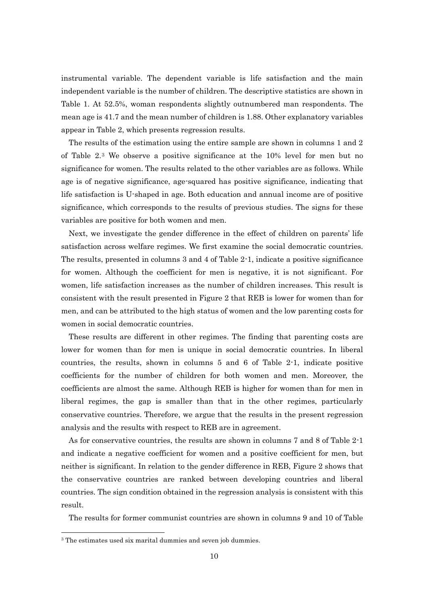instrumental variable. The dependent variable is life satisfaction and the main independent variable is the number of children. The descriptive statistics are shown in Table 1. At 52.5%, woman respondents slightly outnumbered man respondents. The mean age is 41.7 and the mean number of children is 1.88. Other explanatory variables appear in Table 2, which presents regression results.

The results of the estimation using the entire sample are shown in columns 1 and 2 of Table 2.<sup>3</sup> We observe a positive significance at the 10% level for men but no significance for women. The results related to the other variables are as follows. While age is of negative significance, age-squared has positive significance, indicating that life satisfaction is U-shaped in age. Both education and annual income are of positive significance, which corresponds to the results of previous studies. The signs for these variables are positive for both women and men.

Next, we investigate the gender difference in the effect of children on parents' life satisfaction across welfare regimes. We first examine the social democratic countries. The results, presented in columns 3 and 4 of Table 2-1, indicate a positive significance for women. Although the coefficient for men is negative, it is not significant. For women, life satisfaction increases as the number of children increases. This result is consistent with the result presented in Figure 2 that REB is lower for women than for men, and can be attributed to the high status of women and the low parenting costs for women in social democratic countries.

These results are different in other regimes. The finding that parenting costs are lower for women than for men is unique in social democratic countries. In liberal countries, the results, shown in columns 5 and 6 of Table 2-1, indicate positive coefficients for the number of children for both women and men. Moreover, the coefficients are almost the same. Although REB is higher for women than for men in liberal regimes, the gap is smaller than that in the other regimes, particularly conservative countries. Therefore, we argue that the results in the present regression analysis and the results with respect to REB are in agreement.

As for conservative countries, the results are shown in columns 7 and 8 of Table 2-1 and indicate a negative coefficient for women and a positive coefficient for men, but neither is significant. In relation to the gender difference in REB, Figure 2 shows that the conservative countries are ranked between developing countries and liberal countries. The sign condition obtained in the regression analysis is consistent with this result.

The results for former communist countries are shown in columns 9 and 10 of Table

 $\overline{a}$ 

<sup>&</sup>lt;sup>3</sup> The estimates used six marital dummies and seven job dummies.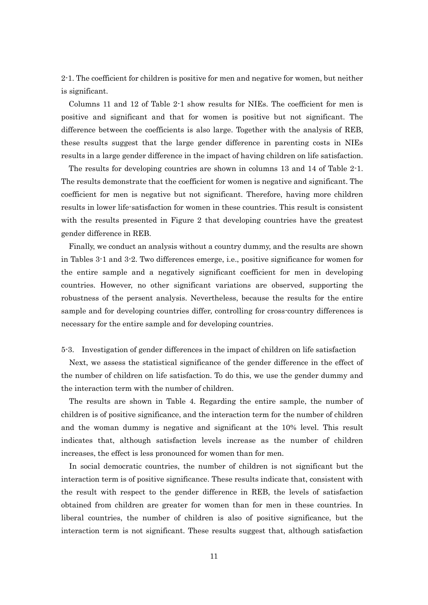2-1. The coefficient for children is positive for men and negative for women, but neither is significant.

Columns 11 and 12 of Table 2-1 show results for NIEs. The coefficient for men is positive and significant and that for women is positive but not significant. The difference between the coefficients is also large. Together with the analysis of REB, these results suggest that the large gender difference in parenting costs in NIEs results in a large gender difference in the impact of having children on life satisfaction.

The results for developing countries are shown in columns 13 and 14 of Table 2-1. The results demonstrate that the coefficient for women is negative and significant. The coefficient for men is negative but not significant. Therefore, having more children results in lower life-satisfaction for women in these countries. This result is consistent with the results presented in Figure 2 that developing countries have the greatest gender difference in REB.

Finally, we conduct an analysis without a country dummy, and the results are shown in Tables 3-1 and 3-2. Two differences emerge, i.e., positive significance for women for the entire sample and a negatively significant coefficient for men in developing countries. However, no other significant variations are observed, supporting the robustness of the persent analysis. Nevertheless, because the results for the entire sample and for developing countries differ, controlling for cross-country differences is necessary for the entire sample and for developing countries.

#### 5-3. Investigation of gender differences in the impact of children on life satisfaction

Next, we assess the statistical significance of the gender difference in the effect of the number of children on life satisfaction. To do this, we use the gender dummy and the interaction term with the number of children.

The results are shown in Table 4. Regarding the entire sample, the number of children is of positive significance, and the interaction term for the number of children and the woman dummy is negative and significant at the 10% level. This result indicates that, although satisfaction levels increase as the number of children increases, the effect is less pronounced for women than for men.

In social democratic countries, the number of children is not significant but the interaction term is of positive significance. These results indicate that, consistent with the result with respect to the gender difference in REB, the levels of satisfaction obtained from children are greater for women than for men in these countries. In liberal countries, the number of children is also of positive significance, but the interaction term is not significant. These results suggest that, although satisfaction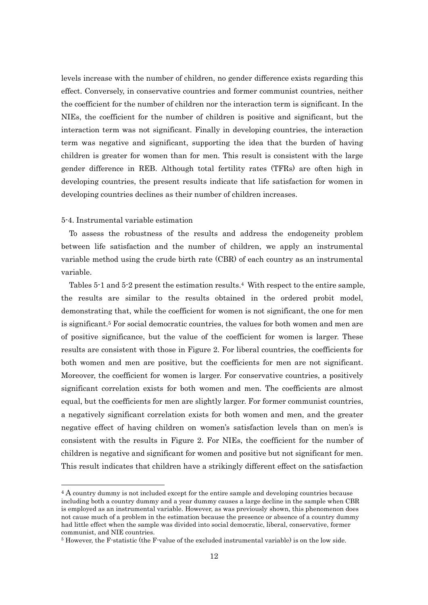levels increase with the number of children, no gender difference exists regarding this effect. Conversely, in conservative countries and former communist countries, neither the coefficient for the number of children nor the interaction term is significant. In the NIEs, the coefficient for the number of children is positive and significant, but the interaction term was not significant. Finally in developing countries, the interaction term was negative and significant, supporting the idea that the burden of having children is greater for women than for men. This result is consistent with the large gender difference in REB. Although total fertility rates (TFRs) are often high in developing countries, the present results indicate that life satisfaction for women in developing countries declines as their number of children increases.

#### 5-4. Instrumental variable estimation

 $\overline{a}$ 

To assess the robustness of the results and address the endogeneity problem between life satisfaction and the number of children, we apply an instrumental variable method using the crude birth rate (CBR) of each country as an instrumental variable.

Tables 5-1 and 5-2 present the estimation results.<sup>4</sup> With respect to the entire sample, the results are similar to the results obtained in the ordered probit model, demonstrating that, while the coefficient for women is not significant, the one for men is significant.<sup>5</sup> For social democratic countries, the values for both women and men are of positive significance, but the value of the coefficient for women is larger. These results are consistent with those in Figure 2. For liberal countries, the coefficients for both women and men are positive, but the coefficients for men are not significant. Moreover, the coefficient for women is larger. For conservative countries, a positively significant correlation exists for both women and men. The coefficients are almost equal, but the coefficients for men are slightly larger. For former communist countries, a negatively significant correlation exists for both women and men, and the greater negative effect of having children on women's satisfaction levels than on men's is consistent with the results in Figure 2. For NIEs, the coefficient for the number of children is negative and significant for women and positive but not significant for men. This result indicates that children have a strikingly different effect on the satisfaction

<sup>&</sup>lt;sup>4</sup> A country dummy is not included except for the entire sample and developing countries because including both a country dummy and a year dummy causes a large decline in the sample when CBR is employed as an instrumental variable. However, as was previously shown, this phenomenon does not cause much of a problem in the estimation because the presence or absence of a country dummy had little effect when the sample was divided into social democratic, liberal, conservative, former communist, and NIE countries.

<sup>5</sup> However, the F-statistic (the F-value of the excluded instrumental variable) is on the low side.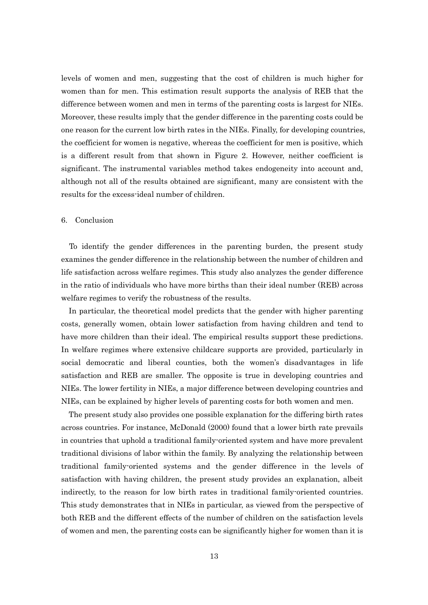levels of women and men, suggesting that the cost of children is much higher for women than for men. This estimation result supports the analysis of REB that the difference between women and men in terms of the parenting costs is largest for NIEs. Moreover, these results imply that the gender difference in the parenting costs could be one reason for the current low birth rates in the NIEs. Finally, for developing countries, the coefficient for women is negative, whereas the coefficient for men is positive, which is a different result from that shown in Figure 2. However, neither coefficient is significant. The instrumental variables method takes endogeneity into account and, although not all of the results obtained are significant, many are consistent with the results for the excess-ideal number of children.

#### 6. Conclusion

To identify the gender differences in the parenting burden, the present study examines the gender difference in the relationship between the number of children and life satisfaction across welfare regimes. This study also analyzes the gender difference in the ratio of individuals who have more births than their ideal number (REB) across welfare regimes to verify the robustness of the results.

In particular, the theoretical model predicts that the gender with higher parenting costs, generally women, obtain lower satisfaction from having children and tend to have more children than their ideal. The empirical results support these predictions. In welfare regimes where extensive childcare supports are provided, particularly in social democratic and liberal counties, both the women's disadvantages in life satisfaction and REB are smaller. The opposite is true in developing countries and NIEs. The lower fertility in NIEs, a major difference between developing countries and NIEs, can be explained by higher levels of parenting costs for both women and men.

The present study also provides one possible explanation for the differing birth rates across countries. For instance, McDonald (2000) found that a lower birth rate prevails in countries that uphold a traditional family-oriented system and have more prevalent traditional divisions of labor within the family. By analyzing the relationship between traditional family-oriented systems and the gender difference in the levels of satisfaction with having children, the present study provides an explanation, albeit indirectly, to the reason for low birth rates in traditional family-oriented countries. This study demonstrates that in NIEs in particular, as viewed from the perspective of both REB and the different effects of the number of children on the satisfaction levels of women and men, the parenting costs can be significantly higher for women than it is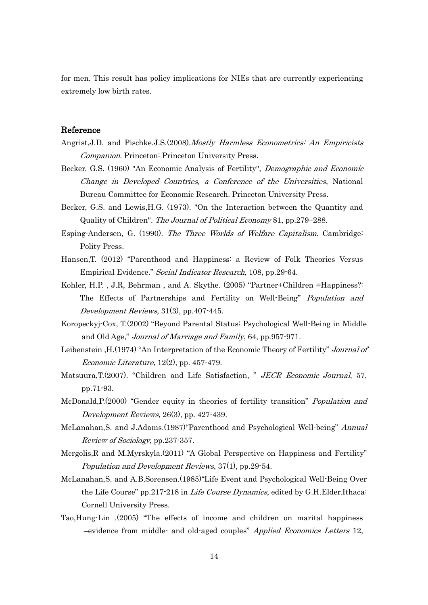for men. This result has policy implications for NIEs that are currently experiencing extremely low birth rates.

## Reference

- Angrist,J.D. and Pischke.J.S.(2008).*Mostly Harmless Econometrics: An Empiricists* Companion. Princeton: Princeton University Press.
- Becker, G.S. (1960) "An Economic Analysis of Fertility", Demographic and Economic Change in Developed Countries, a Conference of the Universities, National Bureau Committee for Economic Research. Princeton University Press.
- Becker, G.S. and Lewis,H.G. (1973). "On the Interaction between the Quantity and Quality of Children". The Journal of Political Economy 81, pp.279–288.
- Esping-Andersen, G. (1990). The Three Worlds of Welfare Capitalism. Cambridge: Polity Press.
- Hansen,T. (2012) "Parenthood and Happiness: a Review of Folk Theories Versus Empirical Evidence." Social Indicator Research, 108, pp.29-64.
- Kohler, H.P. , J.R, Behrman , and A. Skythe. (2005) "Partner+Children =Happiness?: The Effects of Partnerships and Fertility on Well-Being" Population and Development Reviews, 31(3), pp.407-445.
- Koropeckyj-Cox, T.(2002) "Beyond Parental Status: Psychological Well-Being in Middle and Old Age," Journal of Marriage and Family, 64, pp.957-971.
- Leibenstein ,H.(1974) "An Interpretation of the Economic Theory of Fertility" Journal of Economic Literature, 12(2), pp. 457-479.
- Matsuura, T. (2007). "Children and Life Satisfaction, " JECR Economic Journal, 57, pp.71-93.
- McDonald,P.(2000) "Gender equity in theories of fertility transition" Population and Development Reviews, 26(3), pp. 427-439.
- McLanahan,S. and J.Adams.(1987)"Parenthood and Psychological Well-being" Annual Review of Sociology, pp.237-357.
- Mcrgolis,R and M.Myrskyla.(2011) "A Global Perspective on Happiness and Fertility" Population and Development Reviews, 37(1), pp.29-54.
- McLanahan,S. and A.B.Sorensen.(1985)"Life Event and Psychological Well-Being Over the Life Course" pp.217-218 in *Life Course Dynamics*, edited by G.H. Elder. Ithaca: Cornell University Press.
- Tao,Hung-Lin .(2005) "The effects of income and children on marital happiness –evidence from middle- and old-aged couples" Applied Economics Letters 12,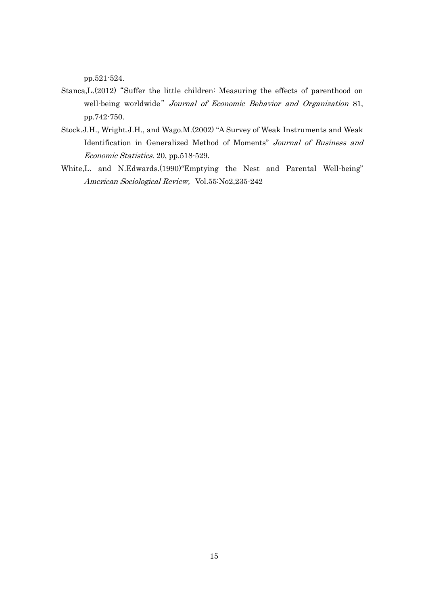pp.521-524.

- Stanca, L. (2012) "Suffer the little children: Measuring the effects of parenthood on well-being worldwide" Journal of Economic Behavior and Organization 81, pp.742-750.
- Stock.J.H., Wright.J.H., and Wago.M.(2002) "A Survey of Weak Instruments and Weak Identification in Generalized Method of Moments" Journal of Business and Economic Statistics. 20, pp.518-529.
- White,L. and N.Edwards.(1990)"Emptying the Nest and Parental Well-being" American Sociological Review, Vol.55:No2,235-242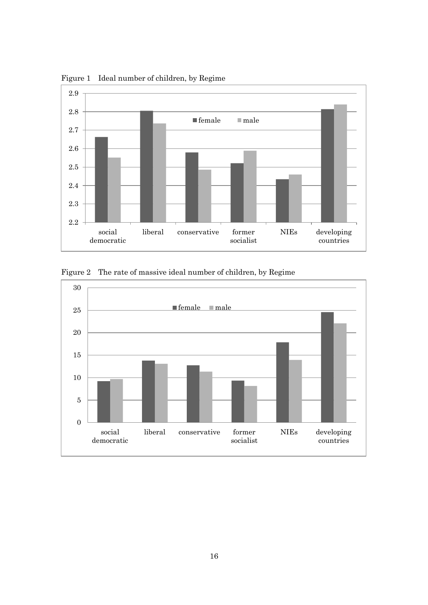

Figure 1 Ideal number of children, by Regime

Figure 2 The rate of massive ideal number of children, by Regime

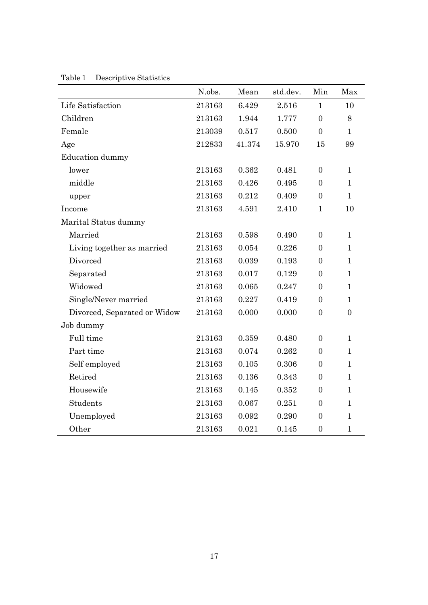|                              | N.obs. | Mean      | std.dev. | Min              | Max            |
|------------------------------|--------|-----------|----------|------------------|----------------|
| Life Satisfaction            | 213163 | 6.429     | 2.516    | $\mathbf{1}$     | 10             |
| Children                     | 213163 | 1.944     | 1.777    | $\overline{0}$   | 8              |
| Female                       | 213039 | 0.517     | 0.500    | $\overline{0}$   | $\mathbf{1}$   |
| Age                          | 212833 | 41.374    | 15.970   | 15               | 99             |
| <b>Education</b> dummy       |        |           |          |                  |                |
| lower                        | 213163 | 0.362     | 0.481    | $\mathbf{0}$     | $\mathbf{1}$   |
| middle                       | 213163 | 0.426     | 0.495    | $\overline{0}$   | $\mathbf{1}$   |
| upper                        | 213163 | 0.212     | 0.409    | $\overline{0}$   | $\mathbf{1}$   |
| Income                       | 213163 | 4.591     | 2.410    | $\mathbf{1}$     | 10             |
| Marital Status dummy         |        |           |          |                  |                |
| Married                      | 213163 | 0.598     | 0.490    | $\overline{0}$   | $\mathbf{1}$   |
| Living together as married   | 213163 | 0.054     | 0.226    | $\mathbf{0}$     | $\mathbf{1}$   |
| Divorced                     | 213163 | 0.039     | 0.193    | $\mathbf{0}$     | $\mathbf{1}$   |
| Separated                    | 213163 | 0.017     | 0.129    | $\overline{0}$   | $\mathbf{1}$   |
| Widowed                      | 213163 | 0.065     | 0.247    | $\mathbf{0}$     | $\mathbf{1}$   |
| Single/Never married         | 213163 | 0.227     | 0.419    | $\mathbf{0}$     | $\mathbf{1}$   |
| Divorced, Separated or Widow | 213163 | 0.000     | 0.000    | $\overline{0}$   | $\overline{0}$ |
| Job dummy                    |        |           |          |                  |                |
| Full time                    | 213163 | 0.359     | 0.480    | $\mathbf{0}$     | $\mathbf{1}$   |
| Part time                    | 213163 | 0.074     | 0.262    | $\overline{0}$   | $\mathbf{1}$   |
| Self employed                | 213163 | 0.105     | 0.306    | $\overline{0}$   | $\mathbf{1}$   |
| Retired                      | 213163 | $0.136\,$ | 0.343    | $\mathbf{0}$     | $\mathbf{1}$   |
| Housewife                    | 213163 | 0.145     | 0.352    | $\boldsymbol{0}$ | $\mathbf{1}$   |
| Students                     | 213163 | 0.067     | 0.251    | $\boldsymbol{0}$ | $\mathbf{1}$   |
| Unemployed                   | 213163 | 0.092     | 0.290    | $\overline{0}$   | $\mathbf{1}$   |
| Other                        | 213163 | 0.021     | 0.145    | $\boldsymbol{0}$ | $\mathbf{1}$   |

Table1 Descriptive Statistics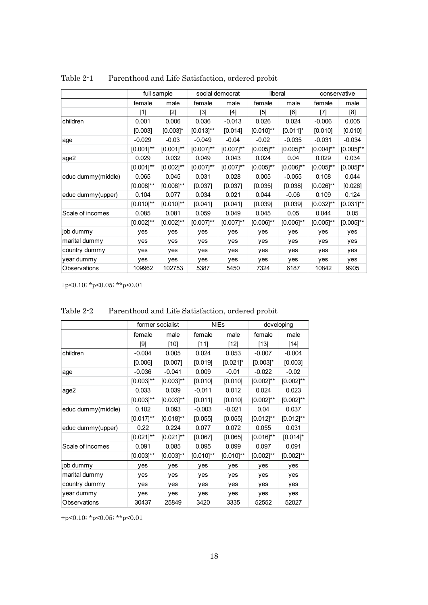|                    |                | full sample    |                | social democrat                                                                            | liberal        |                |                | conservative   |
|--------------------|----------------|----------------|----------------|--------------------------------------------------------------------------------------------|----------------|----------------|----------------|----------------|
|                    | female         | male           | female         | male                                                                                       | female         | male           | female         | male           |
|                    | [1]            | $[2]$          | [3]            | $[4] % \includegraphics[width=0.9\columnwidth]{figures/fig_4} \caption{A=}\label{fig:2} %$ | $[5]$          | [6]            | $[7]$          | [8]            |
| children           | 0.001          | 0.006          | 0.036          | $-0.013$                                                                                   | 0.026          | 0.024          | $-0.006$       | 0.005          |
|                    | [0.003]        | $[0.003]$ *    | $[0.013]^{**}$ | [0.014]                                                                                    | $[0.010]^{**}$ | $[0.011]$ *    | [0.010]        | [0.010]        |
| age                | $-0.029$       | $-0.03$        | $-0.049$       | $-0.04$                                                                                    | $-0.02$        | $-0.035$       | $-0.031$       | $-0.034$       |
|                    | $[0.001]$ **   | $[0.001]$ **   | $[0.007]^{**}$ | $[0.007]$ **                                                                               | $[0.005]^{**}$ | $[0.005]^{**}$ | $[0.004]^{**}$ | $[0.005]^{**}$ |
| age2               | 0.029          | 0.032          | 0.049          | 0.043                                                                                      | 0.024          | 0.04           | 0.029          | 0.034          |
|                    | $[0.001]$ **   | $[0.002]^{**}$ | $[0.007]^{**}$ | $[0.007]$ **                                                                               | $[0.005]^{**}$ | $[0.006]^{**}$ | $[0.005]$ **   | $[0.005]^{**}$ |
| educ dummy(middle) | 0.065          | 0.045          | 0.031          | 0.028                                                                                      | 0.005          | $-0.055$       | 0.108          | 0.044          |
|                    | $[0.008]^{**}$ | $[0.008]$ **   | [0.037]        | [0.037]                                                                                    | [0.035]        | [0.038]        | $[0.026]^{**}$ | [0.028]        |
| educ dummy(upper)  | 0.104          | 0.077          | 0.034          | 0.021                                                                                      | 0.044          | $-0.06$        | 0.109          | 0.124          |
|                    | $[0.010]^{**}$ | $[0.010]^{**}$ | [0.041]        | [0.041]                                                                                    | [0.039]        | [0.039]        | $[0.032]^{**}$ | $[0.031]$ **   |
| Scale of incomes   | 0.085          | 0.081          | 0.059          | 0.049                                                                                      | 0.045          | 0.05           | 0.044          | 0.05           |
|                    | $[0.002]^{**}$ | $[0.002]^{**}$ | $[0.007]^{**}$ | $[0.007]$ **                                                                               | $[0.006]^{**}$ | $[0.006]^{**}$ | $[0.005]$ **   | $[0.005]^{**}$ |
| job dummy          | yes            | yes            | yes            | yes                                                                                        | yes            | yes            | yes            | yes            |
| marital dummy      | yes            | yes            | yes            | yes                                                                                        | yes            | yes            | yes            | yes            |
| country dummy      | yes            | yes            | yes            | yes                                                                                        | yes            | yes            | yes            | yes            |
| year dummy         | yes            | yes            | yes            | yes                                                                                        | yes            | yes            | yes            | yes            |
| Observations       | 109962         | 102753         | 5387           | 5450                                                                                       | 7324           | 6187           | 10842          | 9905           |

Table 2-1 Parenthood and Life Satisfaction, ordered probit

|                    | former socialist |                |                | <b>NIEs</b>    | developing     |                |  |
|--------------------|------------------|----------------|----------------|----------------|----------------|----------------|--|
|                    | female           | male           | female         | male           | female         | male           |  |
|                    | $[9]$            | $[10]$         | $[11]$         | $[12]$         | $[13]$         | [14]           |  |
| children           | $-0.004$         | 0.005          | 0.024          | 0.053          | $-0.007$       | $-0.004$       |  |
|                    | [0.006]          | [0.007]        | [0.019]        | $[0.021]$ *    | $[0.003]$ *    | [0.003]        |  |
| age                | $-0.036$         | $-0.041$       | 0.009          | $-0.01$        | $-0.022$       | $-0.02$        |  |
|                    | $[0.003]^{**}$   | $[0.003]^{**}$ | [0.010]        | [0.010]        | $[0.002]^{**}$ | $[0.002]^{**}$ |  |
| age2               | 0.033            | 0.039          | $-0.011$       | 0.012          | 0.024          | 0.023          |  |
|                    | $[0.003]^{**}$   | $[0.003]^{**}$ | [0.011]        | [0.010]        | $[0.002]^{**}$ | $[0.002]^{**}$ |  |
| educ dummy(middle) | 0.102            | 0.093          | $-0.003$       | $-0.021$       | 0.04           | 0.037          |  |
|                    | $[0.017]$ **     | $[0.018]^{**}$ | [0.055]        | [0.055]        | $[0.012]^{**}$ | $[0.012]^{**}$ |  |
| educ dummy(upper)  | 0.22             | 0.224          | 0.077          | 0.072          | 0.055          | 0.031          |  |
|                    | $[0.021]^{**}$   | $[0.021]$ **   | [0.067]        | [0.065]        | $[0.016]^{**}$ | $[0.014]$ *    |  |
| Scale of incomes   | 0.091            | 0.085          | 0.095          | 0.099          | 0.097          | 0.091          |  |
|                    | $[0.003]^{**}$   | $[0.003]$ **   | $[0.010]^{**}$ | $[0.010]^{**}$ | $[0.002]^{**}$ | $[0.002]^{**}$ |  |
| job dummy          | yes              | yes            | yes            | yes            | yes            | yes            |  |
| marital dummy      | yes              | yes            | yes            | yes            | yes            | yes            |  |
| country dummy      | yes              | yes            | yes            | yes            | yes            | yes            |  |
| year dummy         | yes              | yes            | yes            | yes            | yes            | yes            |  |
| Observations       | 30437            | 25849          | 3420           | 3335           | 52552          | 52027          |  |

Table 2-2 Parenthood and Life Satisfaction, ordered probit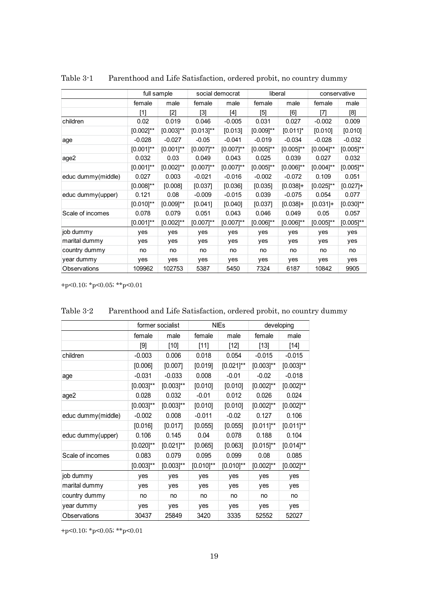|                    |                | full sample    |                | social democrat | liberal        |                |                | conservative   |
|--------------------|----------------|----------------|----------------|-----------------|----------------|----------------|----------------|----------------|
|                    | female         | male           | female         | male            | female         | male           | female         | male           |
|                    | $[1]$          | [2]            | $[3]$          | [4]             | $[5]$          | [6]            | [7]            | [8]            |
| children           | 0.02           | 0.019          | 0.046          | $-0.005$        | 0.031          | 0.027          | $-0.002$       | 0.009          |
|                    | $[0.002]^{**}$ | $[0.003]^{**}$ | $[0.013]^{**}$ | [0.013]         | $[0.009]^{**}$ | $[0.011]$ *    | [0.010]        | [0.010]        |
| age                | $-0.028$       | $-0.027$       | $-0.05$        | $-0.041$        | $-0.019$       | $-0.034$       | $-0.028$       | $-0.032$       |
|                    | $[0.001]$ **   | $[0.001]$ **   | $[0.007]^{**}$ | $[0.007]$ **    | $[0.005]$ **   | $[0.005]^{**}$ | $[0.004]^{**}$ | $[0.005]^{**}$ |
| age2               | 0.032          | 0.03           | 0.049          | 0.043           | 0.025          | 0.039          | 0.027          | 0.032          |
|                    | $[0.001]$ **   | $[0.002]^{**}$ | $[0.007]^{**}$ | $[0.007]$ **    | $[0.005]^{**}$ | $[0.006]^{**}$ | $[0.004]^{**}$ | $[0.005]^{**}$ |
| educ dummy(middle) | 0.027          | 0.003          | $-0.021$       | $-0.016$        | $-0.002$       | $-0.072$       | 0.109          | 0.051          |
|                    | $[0.008]^{**}$ | [0.008]        | [0.037]        | [0.036]         | [0.035]        | $[0.038]+$     | $[0.025]^{**}$ | $[0.027]+$     |
| educ dummy(upper)  | 0.121          | 0.08           | $-0.009$       | $-0.015$        | 0.039          | $-0.075$       | 0.054          | 0.077          |
|                    | $[0.010]^{**}$ | $[0.009]$ **   | [0.041]        | [0.040]         | [0.037]        | $[0.038]+$     | $[0.031]+$     | $[0.030]^{**}$ |
| Scale of incomes   | 0.078          | 0.079          | 0.051          | 0.043           | 0.046          | 0.049          | 0.05           | 0.057          |
|                    | $[0.001]$ **   | $[0.002]^{**}$ | $[0.007]^{**}$ | $[0.007]$ **    | $[0.006]^{**}$ | $[0.006]^{**}$ | $[0.005]^{**}$ | $[0.005]^{**}$ |
| job dummy          | yes            | yes            | yes            | yes             | yes            | yes            | yes            | yes            |
| marital dummy      | yes            | yes            | yes            | yes             | yes            | yes            | yes            | yes            |
| country dummy      | no             | no             | no             | no              | no             | no             | no             | no             |
| year dummy         | yes            | yes            | yes            | yes             | yes            | yes            | yes            | yes            |
| Observations       | 109962         | 102753         | 5387           | 5450            | 7324           | 6187           | 10842          | 9905           |

Table 3-1 Parenthood and Life Satisfaction, ordered probit, no country dummy

|                    |                | former socialist |                | <b>NIEs</b>    |                | developing     |
|--------------------|----------------|------------------|----------------|----------------|----------------|----------------|
|                    | female         | male             | female         | male           | female         | male           |
|                    | $[9]$          | $[10]$           | $[11]$         | $[12]$         | $[13]$         | $[14]$         |
| children           | $-0.003$       | 0.006            | 0.018          | 0.054          | $-0.015$       | $-0.015$       |
|                    | [0.006]        | [0.007]          | [0.019]        | $[0.021]^{**}$ | $[0.003]^{**}$ | $[0.003]$ **   |
| age                | $-0.031$       | $-0.033$         | 0.008          | $-0.01$        | $-0.02$        | $-0.018$       |
|                    | $[0.003]^{**}$ | $[0.003]^{**}$   | [0.010]        | [0.010]        | $[0.002]^{**}$ | $[0.002]^{**}$ |
| age2               | 0.028          | 0.032            | $-0.01$        | 0.012          | 0.026          | 0.024          |
|                    | $[0.003]^{**}$ | $[0.003]^{**}$   | [0.010]        | [0.010]        | $[0.002]^{**}$ | $[0.002]^{**}$ |
| educ dummy(middle) | $-0.002$       | 0.008            | $-0.011$       | $-0.02$        | 0.127          | 0.106          |
|                    | [0.016]        | [0.017]          | [0.055]        | [0.055]        | $[0.011]$ **   | $[0.011]$ **   |
| educ dummy(upper)  | 0.106          | 0.145            | 0.04           | 0.078          | 0.188          | 0.104          |
|                    | $[0.020]^{**}$ | $[0.021]$ **     | [0.065]        | [0.063]        | $[0.015]$ **   | $[0.014]^{**}$ |
| Scale of incomes   | 0.083          | 0.079            | 0.095          | 0.099          | 0.08           | 0.085          |
|                    | $[0.003]^{**}$ | $[0.003]$ **     | $[0.010]^{**}$ | $[0.010]^{**}$ | $[0.002]^{**}$ | $[0.002]^{**}$ |
| job dummy          | yes            | yes              | yes            | yes            | yes            | yes            |
| marital dummy      | yes            | yes              | yes            | yes            | yes            | yes            |
| country dummy      | no             | no               | no             | no             | no             | no             |
| year dummy         | yes            | yes              | yes            | yes            | yes            | yes            |
| Observations       | 30437          | 25849            | 3420           | 3335           | 52552          | 52027          |

Table 3-2 Parenthood and Life Satisfaction, ordered probit, no country dummy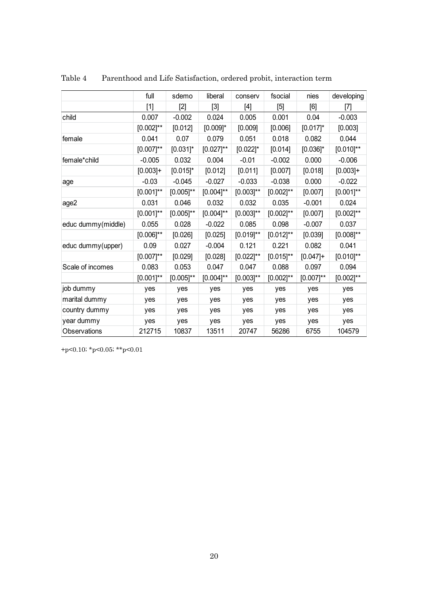|                    | full           | sdemo        | liberal        | conserv        | fsocial        | nies         | developing     |
|--------------------|----------------|--------------|----------------|----------------|----------------|--------------|----------------|
|                    | $[1]$          | $[2]$        | $[3]$          |                | $[5]$          | [6]          | [7]            |
| child              | 0.007          | $-0.002$     | 0.024          | 0.005          | 0.001          | 0.04         | $-0.003$       |
|                    | $[0.002]^{**}$ | [0.012]      | $[0.009]$ *    | [0.009]        | [0.006]        | $[0.017]$ *  | [0.003]        |
| female             | 0.041          | 0.07         | 0.079          | 0.051          | 0.018          | 0.082        | 0.044          |
|                    | $[0.007]$ **   | $[0.031]$ *  | $[0.027]^{**}$ | $[0.022]$ *    | [0.014]        | $[0.036]$ *  | $[0.010]^{**}$ |
| female*child       | $-0.005$       | 0.032        | 0.004          | $-0.01$        | $-0.002$       | 0.000        | $-0.006$       |
|                    | $[0.003]+$     | $[0.015]$ *  | [0.012]        | [0.011]        | [0.007]        | [0.018]      | $[0.003]+$     |
| age                | $-0.03$        | $-0.045$     | $-0.027$       | $-0.033$       | $-0.038$       | 0.000        | $-0.022$       |
|                    | $[0.001]^{**}$ | $[0.005]$ ** | $[0.004]^{**}$ | $[0.003]^{**}$ | $[0.002]^{**}$ | [0.007]      | $[0.001]^{**}$ |
| age2               | 0.031          | 0.046        | 0.032          | 0.032          | 0.035          | $-0.001$     | 0.024          |
|                    | $[0.001]$ **   | $[0.005]$ ** | $[0.004]^{**}$ | $[0.003]$ **   | $[0.002]^{**}$ | [0.007]      | $[0.002]^{**}$ |
| educ dummy(middle) | 0.055          | 0.028        | $-0.022$       | 0.085          | 0.098          | $-0.007$     | 0.037          |
|                    | $[0.006]^{**}$ | [0.026]      | [0.025]        | $[0.019]$ **   | $[0.012]^{**}$ | [0.039]      | $[0.008]^{**}$ |
| educ dummy(upper)  | 0.09           | 0.027        | $-0.004$       | 0.121          | 0.221          | 0.082        | 0.041          |
|                    | $[0.007]^{**}$ | [0.029]      | [0.028]        | $[0.022]$ **   | $[0.015]$ **   | $[0.047]+$   | $[0.010]^{**}$ |
| Scale of incomes   | 0.083          | 0.053        | 0.047          | 0.047          | 0.088          | 0.097        | 0.094          |
|                    | $[0.001]^{**}$ | $[0.005]$ ** | $[0.004]^{**}$ | $[0.003]$ **   | $[0.002]$ **   | $[0.007]$ ** | $[0.002]^{**}$ |
| job dummy          | yes            | yes          | yes            | yes            | yes            | yes          | yes            |
| marital dummy      | yes            | yes          | yes            | yes            | yes            | yes          | yes            |
| country dummy      | yes            | yes          | yes            | yes            | yes            | yes          | yes            |
| year dummy         | yes            | yes          | yes            | yes            | yes            | yes          | yes            |
| Observations       | 212715         | 10837        | 13511          | 20747          | 56286          | 6755         | 104579         |

| Table 4 | Parenthood and Life Satisfaction, ordered probit, interaction term |  |
|---------|--------------------------------------------------------------------|--|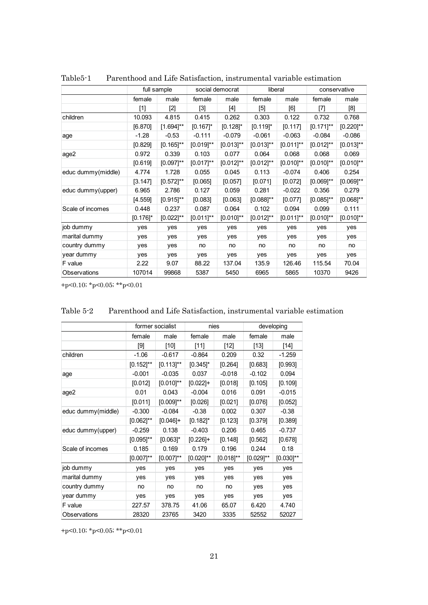|                    |             | full sample    |                | social democrat |                                                                                                                                                                                       | liberal        | conservative                                                                                                                                                                                                                                                                                                                                                                                                                                                                                           |                |
|--------------------|-------------|----------------|----------------|-----------------|---------------------------------------------------------------------------------------------------------------------------------------------------------------------------------------|----------------|--------------------------------------------------------------------------------------------------------------------------------------------------------------------------------------------------------------------------------------------------------------------------------------------------------------------------------------------------------------------------------------------------------------------------------------------------------------------------------------------------------|----------------|
|                    | female      | male           | female         | male            | female                                                                                                                                                                                | male           | female                                                                                                                                                                                                                                                                                                                                                                                                                                                                                                 | male           |
|                    | $[1]$       | $[2]$          | $[3]$          | [4]             | $[5] % \begin{center} \includegraphics[width=\linewidth]{imagesSupplemental/Imit} \caption{The image shows the image shows a single number of times.} \label{fig:limal} \end{center}$ | [6]            | $[7] \centering% \includegraphics[width=1\textwidth]{images/TransY.pdf} \caption{The first two different values of $d=3$ and $d=4$ (left) and $d=5$ (right) and $d=6$ (right) and $d=6$ (right) and $d=6$ (right) and $d=6$ (right) and $d=6$ (right) and $d=6$ (right) and $d=6$ (right) and $d=6$ (right) and $d=6$ (right) and $d=6$ (right) and $d=6$ (right) and $d=6$ (right) and $d=6$ (right) and $d=6$ (right) and $d=6$ (right) and $d=6$ (right) and $d=6$ (right) and $d=6$ (right) and $$ | [8]            |
| children           | 10.093      | 4.815          | 0.415          | 0.262           | 0.303                                                                                                                                                                                 | 0.122          | 0.732                                                                                                                                                                                                                                                                                                                                                                                                                                                                                                  | 0.768          |
|                    | [6.870]     | $[1.694]$ **   | $[0.167]$ *    | $[0.128]$ *     | $[0.119]$ *                                                                                                                                                                           | [0.117]        | $[0.171]$ **                                                                                                                                                                                                                                                                                                                                                                                                                                                                                           | $[0.220]^{**}$ |
| age                | $-1.28$     | $-0.53$        | $-0.111$       | $-0.079$        | $-0.061$                                                                                                                                                                              | $-0.063$       | $-0.084$                                                                                                                                                                                                                                                                                                                                                                                                                                                                                               | $-0.086$       |
|                    | [0.829]     | $[0.165]$ **   | $[0.019]^{**}$ | $[0.013]^{**}$  | $[0.013]^{**}$                                                                                                                                                                        | $[0.011]$ **   | $[0.012]^{**}$                                                                                                                                                                                                                                                                                                                                                                                                                                                                                         | $[0.013]^{**}$ |
| age2               | 0.972       | 0.339          | 0.103          | 0.077           | 0.064                                                                                                                                                                                 | 0.068          | 0.068                                                                                                                                                                                                                                                                                                                                                                                                                                                                                                  | 0.069          |
|                    | [0.619]     | $[0.097]$ **   | $[0.017]$ **   | $[0.012]^{**}$  | $[0.012]^{**}$                                                                                                                                                                        | $[0.010]^{**}$ | $[0.010]^{**}$                                                                                                                                                                                                                                                                                                                                                                                                                                                                                         | $[0.010]^{**}$ |
| educ dummy(middle) | 4.774       | 1.728          | 0.055          | 0.045           | 0.113                                                                                                                                                                                 | $-0.074$       | 0.406                                                                                                                                                                                                                                                                                                                                                                                                                                                                                                  | 0.254          |
|                    | [3.147]     | $[0.572]^{**}$ | [0.065]        | [0.057]         | [0.071]                                                                                                                                                                               | [0.072]        | $[0.069]$ **                                                                                                                                                                                                                                                                                                                                                                                                                                                                                           | $[0.069]^{**}$ |
| educ dummy(upper)  | 6.965       | 2.786          | 0.127          | 0.059           | 0.281                                                                                                                                                                                 | $-0.022$       | 0.356                                                                                                                                                                                                                                                                                                                                                                                                                                                                                                  | 0.279          |
|                    | [4.559]     | $[0.915]$ **   | [0.083]        | [0.063]         | $[0.088]^{**}$                                                                                                                                                                        | [0.077]        | $[0.085]$ **                                                                                                                                                                                                                                                                                                                                                                                                                                                                                           | $[0.068]^{**}$ |
| Scale of incomes   | 0.448       | 0.237          | 0.087          | 0.064           | 0.102                                                                                                                                                                                 | 0.094          | 0.099                                                                                                                                                                                                                                                                                                                                                                                                                                                                                                  | 0.111          |
|                    | $[0.176]$ * | $[0.022]^{**}$ | $[0.011]$ **   | $[0.010]$ **    | $[0.012]^{**}$                                                                                                                                                                        | $[0.011]$ **   | $[0.010]^{**}$                                                                                                                                                                                                                                                                                                                                                                                                                                                                                         | $[0.010]^{**}$ |
| job dummy          | yes         | yes            | yes            | yes             | yes                                                                                                                                                                                   | yes            | yes                                                                                                                                                                                                                                                                                                                                                                                                                                                                                                    | yes            |
| marital dummy      | yes         | yes            | yes            | yes             | yes                                                                                                                                                                                   | yes            | yes                                                                                                                                                                                                                                                                                                                                                                                                                                                                                                    | yes            |
| country dummy      | yes         | yes            | no             | no              | no                                                                                                                                                                                    | no             | no                                                                                                                                                                                                                                                                                                                                                                                                                                                                                                     | no             |
| year dummy         | yes         | yes            | yes            | yes             | yes                                                                                                                                                                                   | yes            | yes                                                                                                                                                                                                                                                                                                                                                                                                                                                                                                    | yes            |
| F value            | 2.22        | 9.07           | 88.22          | 137.04          | 135.9                                                                                                                                                                                 | 126.46         | 115.54                                                                                                                                                                                                                                                                                                                                                                                                                                                                                                 | 70.04          |
| Observations       | 107014      | 99868          | 5387           | 5450            | 6965                                                                                                                                                                                  | 5865           | 10370                                                                                                                                                                                                                                                                                                                                                                                                                                                                                                  | 9426           |

Table5-1 Parenthood and Life Satisfaction, instrumental variable estimation

|                    |                | former socialist |                | nies           |              | developing     |
|--------------------|----------------|------------------|----------------|----------------|--------------|----------------|
|                    | female         | male             | female         | male           | female       | male           |
|                    | $[9]$          | $[10]$           | $[11]$         | $[12]$         | $[13]$       | $[14]$         |
| children           | $-1.06$        | $-0.617$         | $-0.864$       | 0.209          | 0.32         | $-1.259$       |
|                    | $[0.152]^{**}$ | $[0.113]$ **     | $[0.345]$ *    | [0.264]        | [0.683]      | [0.993]        |
| age                | $-0.001$       | $-0.035$         | 0.037          | $-0.018$       | $-0.102$     | 0.094          |
|                    | [0.012]        | $[0.010]^{**}$   | $[0.022]$ +    | [0.018]        | [0.105]      | [0.109]        |
| age2               | 0.01           | 0.043            | $-0.004$       | 0.016          | 0.091        | $-0.015$       |
|                    | [0.011]        | $[0.009]^{**}$   | [0.026]        | [0.021]        | [0.076]      | [0.052]        |
| educ dummy(middle) | $-0.300$       | $-0.084$         | $-0.38$        | 0.002          | 0.307        | $-0.38$        |
|                    | $[0.062]^{**}$ | $[0.046]+$       | $[0.182]$ *    | [0.123]        | [0.379]      | [0.389]        |
| educ dummy(upper)  | $-0.259$       | 0.138            | $-0.403$       | 0.206          | 0.465        | $-0.737$       |
|                    | $[0.095]^{**}$ | $[0.063]$ *      | $[0.226]+$     | [0.148]        | [0.562]      | [0.678]        |
| Scale of incomes   | 0.185          | 0.169            | 0.179          | 0.196          | 0.244        | 0.18           |
|                    | $[0.007]^{**}$ | $[0.007]^{**}$   | $[0.020]^{**}$ | $[0.018]^{**}$ | $[0.029]$ ** | $[0.030]^{**}$ |
| job dummy          | yes            | yes              | yes            | yes            | yes          | yes            |
| marital dummy      | yes            | yes              | yes            | yes            | yes          | yes            |
| country dummy      | no             | no               | no             | no             | yes          | yes            |
| year dummy         | yes            | yes              | yes            | yes            | yes          | yes            |
| F value            | 227.57         | 378.75           | 41.06          | 65.07          | 6.420        | 4.740          |
| Observations       | 28320          | 23765            | 3420           | 3335           | 52552        | 52027          |

| Table 5-2 |  |  |  | Parenthood and Life Satisfaction, instrumental variable estimation |
|-----------|--|--|--|--------------------------------------------------------------------|
|-----------|--|--|--|--------------------------------------------------------------------|